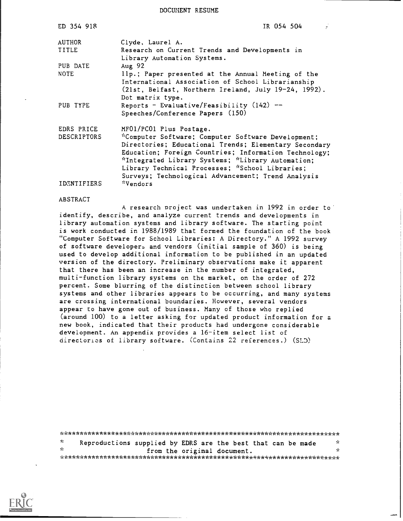DOCUMENT RESUME

| ED 354 918         | IR 054 504                                                                                                                                                                                                                                                                                                                         |
|--------------------|------------------------------------------------------------------------------------------------------------------------------------------------------------------------------------------------------------------------------------------------------------------------------------------------------------------------------------|
| AUTHOR             | Clyde, Laurel A.                                                                                                                                                                                                                                                                                                                   |
| TITLE              | Research on Current Trends and Developments in<br>Library Automation Systems.                                                                                                                                                                                                                                                      |
| PUB DATE           | Aug 92                                                                                                                                                                                                                                                                                                                             |
| <b>NOTE</b>        | llp.; Paper presented at the Annual Meeting of the<br>International Association of School Librarianship<br>(21st, Belfast, Northern Ireland, July 19-24, 1992).<br>Dot matrix type.                                                                                                                                                |
| PUB TYPE           | Reports - Evaluative/Feasibility $(142)$ --<br>Speeches/Conference Papers (150)                                                                                                                                                                                                                                                    |
| EDRS PRICE         | MF01/PC01 Plus Postage.                                                                                                                                                                                                                                                                                                            |
| DESCRIPTORS        | *Computer Software; Computer Software Development;<br>Directories; Educational Trends; Elementary Secondary<br>Education; Foreign Countries; Information Technology;<br>*Integrated Library Systems; *Library Automation;<br>Library Technical Processes; *School Libraries;<br>Surveys; Technological Advancement; Trend Analysis |
| <b>IDENTIFIERS</b> | *Vendors                                                                                                                                                                                                                                                                                                                           |

#### ABSTRACT

A research project was undertaken in 1992 in order to identify, describe, and analyze current trends and developments in library automation systems and library software. The starting point is work conducted in 1988/1989 that formed the foundation of the book "Computer Software for School Libraries: A Directory." A 1992 survey of software developers and vendors (initial sample of 360) is being used to develop additional information to be published in an updated version of the directory. Preliminary observations make it apparent that there has been an increase in the number of integrated, multi-function library systems on the market, on the order of 272 percent. Some blurring of the distinction between school library systems and other libraries appears to be occurring, and many systems are crossing international boundaries. However, several vendors appear to have gone out of business. Many of those who replied (around 100) to a letter asking for updated product information for a new book, indicated that their products had undergone considerable development. An appendix provides a 16-item select list of directories of library software. (Contains 22 references.) (SLD)

| $\overline{1}$ |  |  |  | Reproductions supplied by EDRS are the best that can be made | -te |  |  |
|----------------|--|--|--|--------------------------------------------------------------|-----|--|--|
| - Se           |  |  |  | from the original document.                                  | ÷   |  |  |
|                |  |  |  |                                                              |     |  |  |

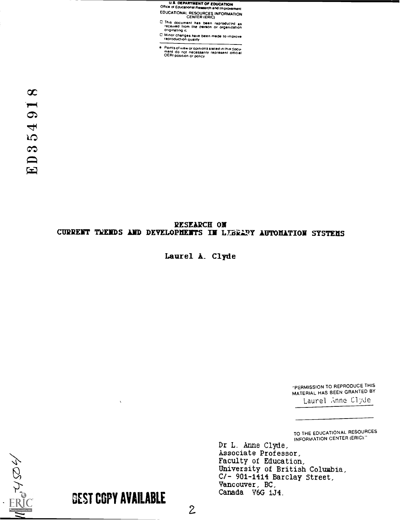U.S DEPARTMENT Of EDUCATION 01 Ice of Educational Research and Improvement EDUCATIONAL RESOURCES INFORMATION CENTER (ERIC)

- <sup>Inis</sup> document has been reprodu<del>red as</del><br>received from the person or organization<br><sup>originating it</sup>
- C Minor changes have been made to improve reproduction Quality
- Points of view or opiniona stated in this docu-<br>ment-do- not inecessarily represent official<br>OERI position or policy

# RESEARCH ON CURRENT TRENDS AND DEVELOPMENTS IN LUBRARY AUTOMATION SYSTEMS

Laurel A. Clyde

-PERMISSION TO REPRODUCE THIS MATERIAL HAS BEEN GRANTED BY Laurel Anne Clyde

TO THE EDUCATIONAL RESOURCES INFORMATION CENTER (ERIC)."

Dr L. Anne Clyde, Associate Professor, Faculty of Education, University of British Columbia, C/- 901-1414 Barclay Street, Vancouver, BC, Canada V6G 1J4.

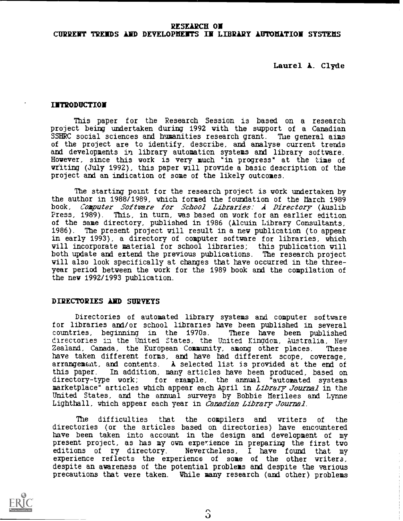## RESEARCH ON CURRENT TRENDS AND DEVELOPHEITS IN LIBRARY LUTOMTION SYSTEMS

Laurel A. Clyde

### INTRODUCTION

This paper for the Research Session is based on a research project being undertaken during 1992 with the support of a Canadian SSHRC social sciences and humanities research grant. The general aims of the project are to identify, describe, and analyse current trends and developments in library automation systems and library software. However, since this work is very much "in progress" at the time of writing (July 1992), this paper will provide a basic description of the project and an indication of some of the likely outcomes.

The starting point for the research project is work undertaken by the author in 1988/1989, which formed the foundation of the March 1989 book, Cagputer Software for School Libraries: A Directory (Auslib Press, 1989). This, in turn, was based on work for an earlier edition of the same directory, published in 1986 (Alcuin Library Consultants, 1986). The present project will result in a new publication (to appear The present project will result in a new publication (to appear in early 1993), a directory of computer software for libraries, which will incorporate material for school libraries; this publication will both update and extend the previous publications. The research project will also look specifically at changes that have occurred in the threeyear period between the work for the 1989 book and the compilation of the new 1992/1993 publication.

#### DIRECTORIES AND SURVEYS

Directories of automated library systems and computer software for libraries and/or school libraries have been published in several countries, beginning in the 1970s. directories in the United States, the United Kingdom, Australia, New Zealand, Canada, the European Community, among other places. These have taken different forms, and have had different scope, coverage, arrangement, and contents. A selected list is provided at the end of this paper. In addition, many articles have been produced, based on directory-type work; for example, the annual "automated systems marketplace" articles which appear each April in *Library Journal* in the United States, and the annual surveys by Bobbie Nerilees and Lynne Lighthall, which appear each year in Canadian Library Journal.

The difficulties that the compilers and writers of the directories (or the articles based on directories) have encountered have been taken into account in the design and development of my present project, as has my own experience in preparing the first two editions of ry directory. Nevertheless, <sup>I</sup> have found that my experience reflects the experience of some of the other writers, despite an awareness of the potential problems and despite the various precautions that were taken. While many research (and other) problems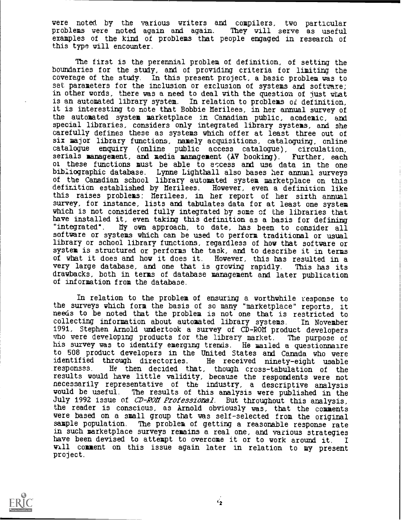were noted by the various writers and compilers, two particular problems were noted again and again. They will serve as useful problems were noted again and again. examples of the kind of problems that people engaged in research of this type will encounter.

The first is the perennial problem of definition, of setting the boundaries for the study, and of providing criteria for limiting the coverage of the study. In this present project, a basic problem was to set parameters for the inclusion or exclusion of systems and software; in other words, there was a need to deal with the question of just what is an automated library system. In relation to problems of definition, it is interesting to note that Bobbie Nerilees, in her annual survey of the automated system marketplace in. Canadian public, academic, and special libraries, considers only integrated library systems, and she carefully defines these as systems which offer at least three out of six major library functions, namely acquisitions, cataloguing, online catalogue enquiry (online public access catalogue), circulation, serials management, and media management (AV booking). Further, each of these functions must be able to access and use data in the one bibliographic database. Lynne Lighthall also bases her annual surveys of the Canadian school library automated system marketplace on this definition established by Nerilees. However, even a definition like this raises problems: Nerilees, in her report of her sixth annual survey, for instance, lists and tabulates data for at least one system which is not considered fully integrated by some of the libraries that have installed it, even taking this definition as a basis for defining "integrated". Ify own approach, to date, has been to consider all software or systems which can be used to perform traditional or usual library or school library functions, regardless of how that software or system is structured or performs the task, and to describe it in terms of what it does and how it does it. However, this has resulted in a very large database, and one that is growing rapidly. This has its very large database, and one that is growing rapidly. drawbacks, both in terms of database management and later publication of information from the database.

In relation to the problem of ensuring a worthwhile response to the surveys which form the basis of so many "marketplace" reports, it needs to be noted that the problem is not one that is restricted to collecting information about automated library systems. In November 1991, Stephen Arnold undertook a survey of CD-RON product developers who were developing products for the library market. The purpose of his survey was to identify emerging trends. He mailed a questionnaire to 508 product developers in the United States and Canada who were identified through directories. He received ninety-eight usable responses. He then decided that, though cross-tabulation of the results would have little validity, because the respondents were not necessarily representative of the industry, a descriptive analysis would be useful. The results of this analysis were published in the July 1992 issue of CD-ROM Professional. But throughout this analysis, the reader is conscious, as Arnold obviously was, that the comments were based on a small group that was self-selected from the original sample population. The problem of getting a reasonable response rate in such marketplace surveys remains a real one, and various strategies have been devised to attempt to overcome it or to work around it. I<br>Will comment on this issue again later in relation to my present project.

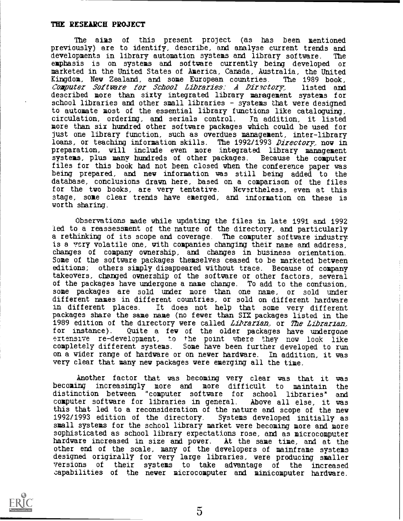### THE RESEARCH PROJECT

The aims of this present project (as has been mentioned previously) are to identify, describe, and analyse current trends and developments in library automation systems and library software. The emphasis is on systems and software currently being developed or marketed in the United States of America, Canada, Australia, the United Kingdom, New Zealand, and some European countries. The 1989 book,<br>Computer Software for School Libraries: A Directory, listed and Computer Software for School Libraries: A Dir,sctory, described more than sixty integrated library management systems for school libraries and other small libraries - systems that were designed to automate most of the essential library functions like cataloguing, circulation, ordering, and serials control. In addition, it listed circulation, ordering, and serials control. more than six hundred other software packages which could be used for just one library function, such as overdues management, inter-library loans, or teaching information skills. The 1992/1993 Directory, now in preparation, will include even more integrated library management systems, plus many hundreds of other packages. Because the computer files for this book had not been closed when the conference paper was being prepared, and new information was still being added to the database, conclusions drawn here, based on a comparison of the files for the two books, are very tentative. Nevsrtheless, even at this stage, some clear trends have emerged, and information on these is worth sharing

Observations made while updating the files in late 1991 and 1992 led to a reassessment of the nature of the directory, and particularly a rethinking of its scope and coverage. The computer software industry is a very volatile one, with companies changing their name and address, changes of company ownership, and changes in business orientation. Some of the software packages themselves ceased to be marketed between editions; others simply disappeared without trace. Because of company takeovers, changed ownership of the software or other factors, several of the packages have undergone a name change. To add to the confusion, some packages are sold under more than one name, or sold under different names in different countries, or sold on different hardware<br>in different places. It does not help that some very different It does not help that some very different packages share the same name (no fewer than SIX packages listed in the 1989 edition of the directory were called *Librarian*, or The Librarian.<br>for instance). Quite a few of the older packages have undergone Quite a few of the older packages have undergone extensive re-development, to the point where they now look like completely different systems. Some have been further developed to run on a wider range of hardware or on newer hardware. In addition, it was very clear that many new packages were emerging all the time.

Another factor that was becoming very clear was that it was becoming increasingly more and more difficult to maintain the distinction between "computer software for school libraries" and computer software for libraries in general. Above all else, it was computer software for libraries in general. this that led to a reconsideration of the nature and scope of the new 1992/1993 edition of the directory. Systems developed initially as small systems for the school library market were becoming more and more sophisticated as school library expectations rose, and as microcomputer hardware increased in size and power. At the same time, and at the other end of the scale, many of the developers of mainframe systems designed origirally for very large libraries, were producing smaller versions of their systems to take advantage of the increased capabilities of the newer microcomputer and minicomputer hardware.



5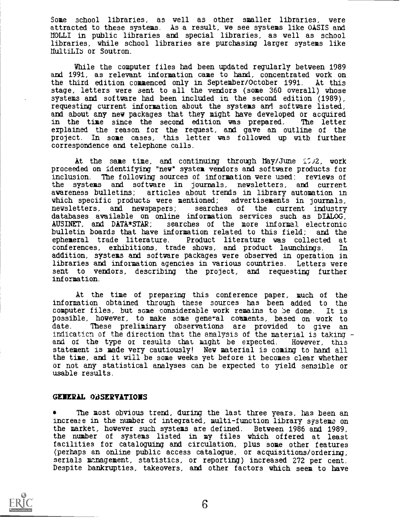Some school libraries, as well as other smaller libraries, were attracted to these systems. As a result, we see systems like OASIS and NOLLI in public libraries and special libraries, as well as school libraries, while school libraries are purchasing larger systems like MultiLIS or Soutron.

While the computer files had been updated regularly between 1989 and 1991, as relevant information came to hand, concentrated work on the third edition commenced only in September/October 1991. At this stage, letters were sent to all the vendors (some 360 overall) whose systems and software had been included in the second edition (1989), requesting current information about the systems and software listed, and about any new packages that they might have developed or acquired in the time since the second edition was prepared. The letter in the time since the second edition was prepared. explained the reason for the request, and gave an outline of the project. In some cases, this letter was followed up with further correspondence and telephone calls.

At the same time, and continuing through May/June  $17.92$ , work proceeded on identifying "new" system vendors and software products for inclusion. The following sources of information were used: reviews of the systems and software in journals, newsletters, and current articles about trends in library automation in which specific products were mentioned; advertisements in journals, newsletters, and newspapers; searches of the current industry databases available on online information services such as DIALOG,<br>AUSINET, and DATA\*STAR; searches of the more informal electronic searches of the more informal electronic bulletin boards that have information related to this field; and the ephemeral trade literature. Product literature was collected at Product literature was collected at conferences, exhibitions, trade shows, and product launchings. In addition, systems and software packages were observed in operation in libraries and information agencies in various countries. Letters were sent to vendors, describing the project, and requesting further information.

At the time of preparing this conference paper, much of the information obtained through these sources has been added to the computer files, but some considerable work remains to be done. It is possible, however, to make some general comments, based on work to date. These preliminary observations are provided to give an indicaticn of the direction that the analysis of the material is taking and or the type or results that might be expected. However, this statement is made very cautiously! New material is coming to hand all the time, and it will be some weeks yet before it becomes clear whether or not any statistical analyses can be expected to yield sensible or usable results.

# GENERAL OBSERVATIONS

The most obvious trend, during the last three years, has been an increase in the number of integrated, multi-function library systems on the market, however such systems are defined. Between 1986 and 1989, the number of systems listed in my files which offered at least facilities for cataloguing and circulation, plus some other features (perhaps an online public access catalogue, or acquisitions/ordering, serials management, statistics, or reporting) increased 272 per cent. Despite bankrupties, takeovers, and other factors which seem to have

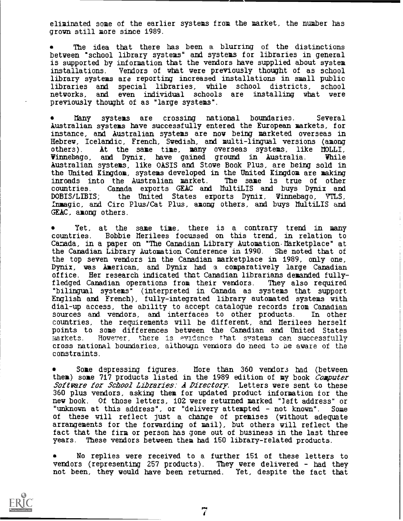eliminated some of the earlier systems from the market, the number has grown still more since 1989.

The idea that there has been a blurring of the distinctions between "school library systems" and systems for libraries in general is supported by information that the vendors have supplied about system installations. Vendors of what were previously thought of as school library systems are reporting increased installations in small public libraries and special libraries, while school districts, school even individual schools are installing what were previously thought of as "large systems".

Many systems are crossing national boundaries. Several Australian systems have successfully entered the European markets, for instance, and Australian systems are now being marketed overseas in Hebrew, Icelandic, French, Swedish, and multi-lingual versions (among others). At the sane time, many overseas systems, like noLLI, Winnebago, and Dynix, have gained ground in Australia. While Australian systems, like OASIS and Stowe Book Plus, are being sold in the United Kingdom, systems developed in the United Kingdom are making inroads into the Australian market. The same is true of other countries. Canada exports GEAC and MultiLIS and buys Dynix and Canada exports GEAC and MultiLIS and buys Dynix and DOBIS/LIBIS; the United States exports Dynix, Winnebago, VTLS, Inmagic, and Circ Plus/Cat Plus, among others, and buys MultiLIS and GEAC, among others.

Yet, at the same time, there is a contrary trend in many countries. Bobbie Nerilees focussed on this trend, in relation to Canada, in a paper on "The Canadian Library Automation Marketplace" at the Canadian Library Automation Conference in 1990. She noted that of the top seven vendors in the Canadian marketplace in 1989, only one, Dynix, was American, and Dynix had a comparatively large Canadian office. Her research indicated that Canadian librarians demanded fullyfledged Canadian operations from their vendors. They also required "bilingual systems" (interpreted in Canada as systems that support English and French), fully-integrated library automated systems with dial-up access, the ability to accept catalogue records from Canadian sources and vendors, and interfaces to other products. In other countries, the requirements will be different, and Nerilees herself points to some differences between the Canadian and United States markets. However, there is evidence that systems can successfully cross national boundaries, aithougn vendors do need to be aware of the constraints.

Some depressing figures. Nore than 360 vendors had (between them) some 717 products listed in the 1989 edition of my book Computer Software for School Libraries: A Directory. Letters were sent to these 360 plus vendors, asking them for updated product information for the new book. Of those letters, 102 were returned marked "left address" or "unknown at this address", or "delivery attempted - not known". Some of these will reflect just a change of premises (without adequate arrangements for the forwarding of mail), but others will reflect the fact that the firm or person has gone out of business in the last three years. These vendors between them had 150 library-related products.

No replies were received to a further 161 of these letters to vendors (representing 257 products). They were delivered - had they not been, they would have been returned. Yet, despite the fact that

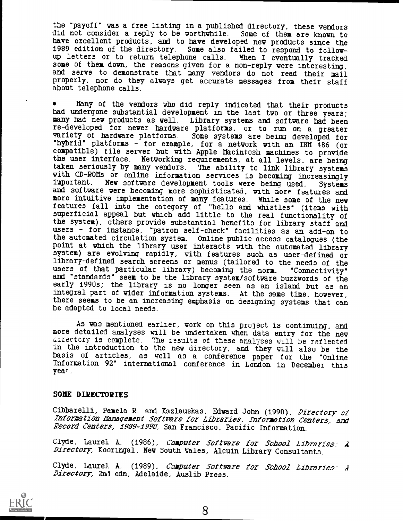the "payoff" was a free listing in a published directory, these vendors did not consider a reply to be worthwhile. Some of them are known to have excellent products, and to have developed new products since the 1989 edition of the directory. Some also failed to respond to followup letters or to return telephone calls. When I eventually tracked some of them down, the reasons given for a non-reply were interesting, and serve to demonstrate that many vendors do not read their mail properly, nor do they always get accurate messages from their staff about telephone calls.

Many of the vendors Who did reply indicated that their products had undergone substantial development in the last two or three years; many had new products as well. Library systems and software had been re- developed for never hardware platforms, or to run on a greater variety of hardware platforms. Some systems are being developed for \*hybrid° platforms - for example, for a network with an IBM 486 (or compatible) file server but with Apple Macintosh machines to provide the user interface. Networking requirements, at all levels, are being taken seriously by many vendors. The ability to link library systems with CD-ROMs or online information services is becoming increasingly important. New software development tools were being used. Systems New software development tools were being used. and software were becoming more sophisticated, with more features and more intuitive implementation of many features. While some of the new features fall into the category of "bells and whistles" (items with superficial appeal but which add little to the real functionality of the system), others provide substantial benefits for library staff and users - for instance, "patron self-check" facilities as an add-on to the automated circulation system. Online public access catalogues (the point at which the library user interacts with the automated library system) are evolving rapidly, with features such as user-defined or library-defined search screens or menus (tailored to the needs of the users of that particular library) becoming the norm. "Connectivity" users of that particular library) becoming the norm. and "standards" seem to be the library system/software buzzwords of the early 1990s; the library is no longer seen as an island but as an integral part of wider information systems. At the same time, however, there seems to be an increasing emphasis on designing systems that can be adapted to local needs.

As was mentioned earlier, work on this project is continuing, and more detailed analyses will be undertaken when data entry for the new directory is complete. The results of these analyses will be reflected in the introduction to the new directory, and they will also be the basis of articles, as well as a conference paper for the "Online Information 92' international conference in London in December this yea' .

#### SOME DIRECTORIES

Cibbarelli, Pamela R. and Kazlauskas, Edward John (1990), Directory of Inforgation Management Softuare for Libraries.. Information Canters: and Record Centers, 1989-1990, San Francisco, Pacific Information.

Clyde, Laurel A. (1986), Computer Software for School Libraries: A Directory. Kooringal, New South Wales, Alcuin Library Consultants.

Clyde, Laurel A. (1989), Computer Software for School Libraries: A Directory: and edn, Adelaide, Auslib Press.

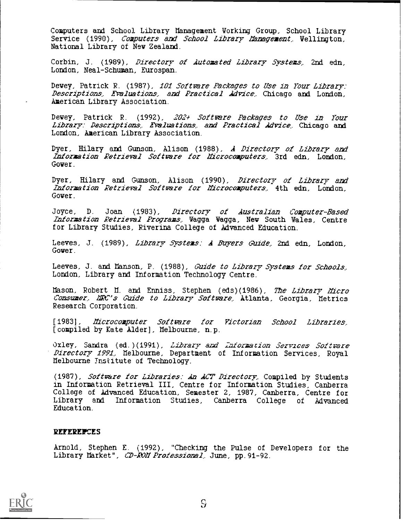Computers and School Library Management Working Group, School Library Service (1990), Computers and School Library Management. Wellington, National Library of New Zealand

Corbin, J. (1989), Directory of Automated Library Systems. 2nd edn, London, Neal-Schuman, Eurospan.

Dewey, Patrick R. (1987), 102 Software Packages to Use in Tour Library: Descriptions: Evaluations: and Practical Advice.. Chicago and London, American Library Association.

Dewey, Patrick R. (1992), 202+ Software Packages to Use in Your Library: Descriptions: Evaluations: and Practical Advice. Chicago and London, American Library Association.

Dyer, Hilary and Gunson, Alison (1988), A Directory of Library and Information Retrieval Software for Mcrocomputers, 3rd edn, London, Gower.

Dyer, Hilary and Gunson, Alison (1990), Directory of Library and Information Retrieval Software for Microcomputers. 4th edn, London, Gower.

Joyce, D. Joan (1983)*, Directory of Australian Computer-Based Information Retrieval Programs,* Wagga Wagga, New South Wales, Centre for Library Studies, Riverina College of Advanced Education.

Leeves, J. (1989), Library Systems: A Buyers Guide, 2nd edn, London, Gower.

Leeves, J. and Manson, P. (1988), Guide to Library Systems for Schools, London, Library and Information Technology Centre.

Mason, Robert M. and Enniss, Stephen (eds)(1986), The Library Micro Consumer. MRC's Guide to Library Software, Atlanta, Georgia, Metrics Research Corporation.

[1983], Mcrocamputer Softmare for Victorian School Libraries, [compiled by Kate Alder], Melbourne, n.p.

Oxley, Sandra (ed.)(1991), Library and Information Services Software Directory 1991. Melbourne, Department of Information Services, Royal Melbourne Tnstitute of Technology.

(1987), Software for Libraries: An AC7' Directory. Compiled by Students in Information Retrieval III, Centre for Information Studies, Canberra College of Advanced Education, Semester 2, 1987, Canberra, Centre for Library and Information Studies, Canberra College of Advanced Education.

#### **REFEREIFCES**

Arnold, Stephen E. (1992), "Checking the Pulse of Developers for the Library Market", CD-ROM Professional, June, pp. 91-92.

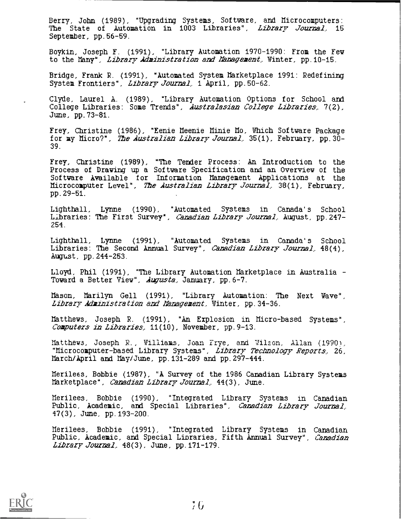Berry, John (1989), "Upgrading Systems, Software, and Microcomputers: The State of Automation in 1003 Libraries", Library Journal. 15 September, pp.56-59.

Boykin, Joseph F. (1991), "Library Automation 1970-1990: From the Fey to the Many", *Library Administration and Management*, Winter, pp. 10-15.

Bridge, Frank R. (1991), "Automated System Marketplace 1991: Redefining System Frontiers", Library journal, 1 April, pp.50-62.

Clyde, Laurel A. (1989), "Library Automation Options for School and College Libraries: Some Trends", Australasian College Libraries, 7(2), June, pp.73-81.

Frey, Christine (1986), "Eenie Meenie Minie No, Which Software Package for my Micro?", The Australian Library Journal. 35(1), February, pp. 30-39.

Frey, Christine (1989), "The Tender Process: An Introduction to the Process of Drawing up a Software Specification and an Overview of the Software Available for Information Management Applications at the Microcomputer Level", The Australian Library Journal, 38(1), February, pp.29-51.

Lighthall, Lynne (1990), "Automated Systems in Canada's School Libraries: The First Survey", Canadian Library Journal, August, pp. 247-254

Lighthall, Lynne (1991), "Automated Systems in Canada's School Libraries: The Second Annual Survey", Canadian Library Journal, 48(4), August, pp.244-253.

Lloyd, Phil (1991), "The Library Automation Marketplace in Australia Toward a Better View", Augusta, January, pp. 6-7.

Mason, Marilyn Gell (1991), "Library Automation: The Next Wave", Library Administration and Management. Winter, pp. 34-36.

Matthews, Joseph R. (1991), "An Explosion in Micro-based Systems", C*omputers in Libraries.* 11(10), November, pp.9-13.

Matthews, Joseph R., Williams, Joan Frye, and Nilson, Allan (1990), "Microcomputer-based Library Systems", Library Technology- Reports.. 26, March/April and May/June, pp.131-289 and pp.297-444.

Nerilees, Bobbie (1987), "A Survey of the 1986 Canadian Library Systems Marketplace", Canadian Library Journal: 44(3) , June.

Merilees, Bobbie (1990), "Integrated Library Systems in Canadian Public, Academic, and Special Libraries", Canadian Library journal, 47(3), June, pp.193-200.

Merilees, Bobbie (1991), "Integrated Library Systems in Canadian Public, Academic, and Special Libraries, Fifth Annual Survey", Canadian Library Journal, 48(3), June, pp. 171-179.